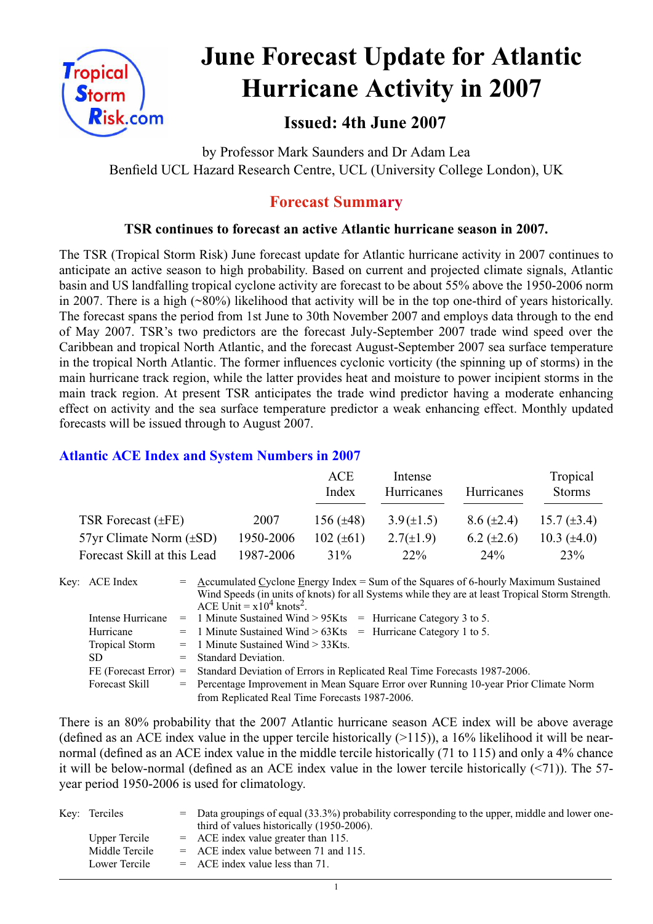

# **June Forecast Update for Atlantic Hurricane Activity in 2007**

# **Issued: 4th June 2007**

by Professor Mark Saunders and Dr Adam Lea Benfield UCL Hazard Research Centre, UCL (University College London), UK

# **Forecast Summary**

## **TSR continues to forecast an active Atlantic hurricane season in 2007.**

The TSR (Tropical Storm Risk) June forecast update for Atlantic hurricane activity in 2007 continues to anticipate an active season to high probability. Based on current and projected climate signals, Atlantic basin and US landfalling tropical cyclone activity are forecast to be about 55% above the 1950-2006 norm in 2007. There is a high (~80%) likelihood that activity will be in the top one-third of years historically. The forecast spans the period from 1st June to 30th November 2007 and employs data through to the end of May 2007. TSR's two predictors are the forecast July-September 2007 trade wind speed over the Caribbean and tropical North Atlantic, and the forecast August-September 2007 sea surface temperature in the tropical North Atlantic. The former influences cyclonic vorticity (the spinning up of storms) in the main hurricane track region, while the latter provides heat and moisture to power incipient storms in the main track region. At present TSR anticipates the trade wind predictor having a moderate enhancing effect on activity and the sea surface temperature predictor a weak enhancing effect. Monthly updated forecasts will be issued through to August 2007.

## **Atlantic ACE Index and System Numbers in 2007**

|                                |           | ACE<br>Index   | Intense<br>Hurricanes | Hurricanes        | Tropical<br><b>Storms</b> |
|--------------------------------|-----------|----------------|-----------------------|-------------------|---------------------------|
| TSR Forecast $(\pm FE)$        | 2007      | 156 $(\pm 48)$ | $3.9(\pm 1.5)$        | $8.6 (\pm 2.4)$   | 15.7 $(\pm 3.4)$          |
| $57yr$ Climate Norm $(\pm SD)$ | 1950-2006 | 102 $(\pm 61)$ | $2.7(\pm 1.9)$        | $6.2 \ (\pm 2.6)$ | 10.3 $(\pm 4.0)$          |
| Forecast Skill at this Lead    | 1987-2006 | $31\%$         | $22\%$                | 24 <sup>o</sup> % | 23%                       |

Key: ACE Index = Accumulated Cyclone Energy Index = Sum of the Squares of 6-hourly Maximum Sustained Wind Speeds (in units of knots) for all Systems while they are at least Tropical Storm Strength. ACE Unit =  $x10^4$  knots<sup>2</sup>. Intense Hurricane = 1 Minute Sustained Wind > 95Kts = Hurricane Category 3 to 5. Hurricane  $= 1$  Minute Sustained Wind  $> 63K$ ts  $=$  Hurricane Category 1 to 5. Tropical Storm = 1 Minute Sustained Wind > 33Kts. SD = Standard Deviation. FE (Forecast Error) = Standard Deviation of Errors in Replicated Real Time Forecasts 1987-2006. Forecast Skill = Percentage Improvement in Mean Square Error over Running 10-year Prior Climate Norm from Replicated Real Time Forecasts 1987-2006.

There is an 80% probability that the 2007 Atlantic hurricane season ACE index will be above average (defined as an ACE index value in the upper tercile historically  $(>115)$ ), a 16% likelihood it will be nearnormal (defined as an ACE index value in the middle tercile historically (71 to 115) and only a 4% chance it will be below-normal (defined as an ACE index value in the lower tercile historically (<71)). The 57 year period 1950-2006 is used for climatology.

| Key: Terciles  | $=$ Data groupings of equal (33.3%) probability corresponding to the upper, middle and lower one-<br>third of values historically (1950-2006). |
|----------------|------------------------------------------------------------------------------------------------------------------------------------------------|
| Upper Tercile  | $=$ ACE index value greater than 115.                                                                                                          |
| Middle Tercile | $=$ ACE index value between 71 and 115.                                                                                                        |
| Lower Tercile  | $=$ ACE index value less than 71.                                                                                                              |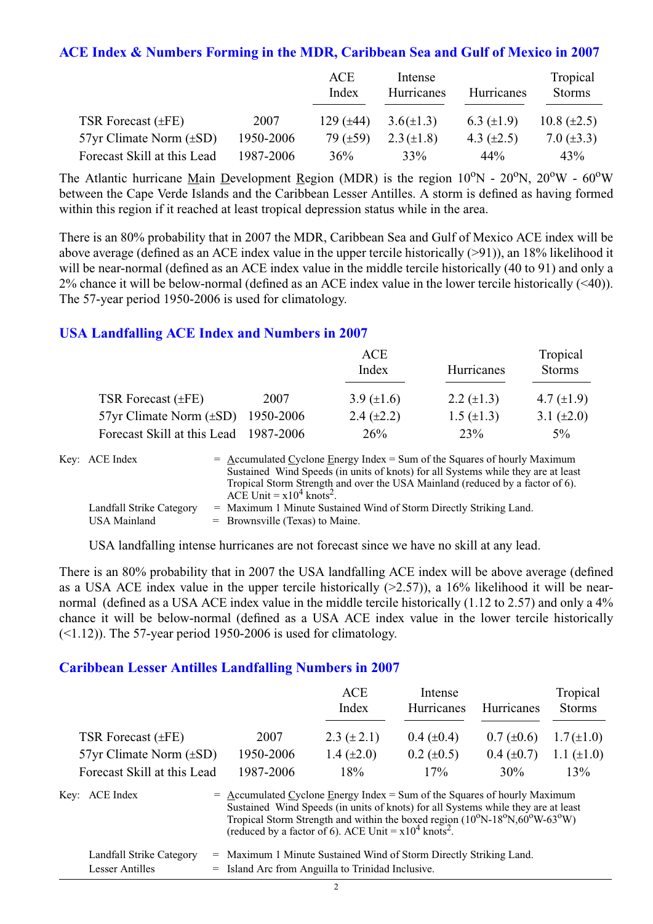#### **ACE Index & Numbers Forming in the MDR, Caribbean Sea and Gulf of Mexico in 2007**

|                                |           | ACE<br>Index   | Intense<br>Hurricanes | Hurricanes      | Tropical<br><b>Storms</b> |
|--------------------------------|-----------|----------------|-----------------------|-----------------|---------------------------|
| TSR Forecast $(\pm FE)$        | 2007      | 129 $(\pm 44)$ | $3.6(\pm 1.3)$        | 6.3 $(\pm 1.9)$ | 10.8 $(\pm 2.5)$          |
| $57yr$ Climate Norm $(\pm SD)$ | 1950-2006 | 79 $(\pm 59)$  | $2.3 (\pm 1.8)$       | 4.3 $(\pm 2.5)$ | 7.0 $(\pm 3.3)$           |
| Forecast Skill at this Lead    | 1987-2006 | 36%            | 33%                   | 44%             | 43%                       |

The Atlantic hurricane Main Development Region (MDR) is the region  $10^{\circ}$ N -  $20^{\circ}$ N,  $20^{\circ}$ W -  $60^{\circ}$ W between the Cape Verde Islands and the Caribbean Lesser Antilles. A storm is defined as having formed within this region if it reached at least tropical depression status while in the area.

There is an 80% probability that in 2007 the MDR, Caribbean Sea and Gulf of Mexico ACE index will be above average (defined as an ACE index value in the upper tercile historically (>91)), an 18% likelihood it will be near-normal (defined as an ACE index value in the middle tercile historically (40 to 91) and only a 2% chance it will be below-normal (defined as an ACE index value in the lower tercile historically (<40)). The 57-year period 1950-2006 is used for climatology.

### **USA Landfalling ACE Index and Numbers in 2007**

|                                        |      | ACE<br>Index    | Hurricanes        | Tropical<br><b>Storms</b> |
|----------------------------------------|------|-----------------|-------------------|---------------------------|
| TSR Forecast $(\pm FE)$                | 2007 | 3.9 $(\pm 1.6)$ | 2.2 $(\pm 1.3)$   | 4.7 $(\pm 1.9)$           |
| 57yr Climate Norm $(\pm SD)$ 1950-2006 |      | 2.4 $(\pm 2.2)$ | $1.5 \ (\pm 1.3)$ | 3.1 $(\pm 2.0)$           |
| Forecast Skill at this Lead 1987-2006  |      | 26%             | 23%               | $5\%$                     |

| Key: ACE Index           | $=$ Accumulated Cyclone Energy Index $=$ Sum of the Squares of hourly Maximum     |
|--------------------------|-----------------------------------------------------------------------------------|
|                          | Sustained Wind Speeds (in units of knots) for all Systems while they are at least |
|                          | Tropical Storm Strength and over the USA Mainland (reduced by a factor of 6).     |
|                          | ACE Unit = $x10^4$ knots <sup>2</sup> .                                           |
| Landfall Strike Category | = Maximum 1 Minute Sustained Wind of Storm Directly Striking Land.                |
| USA Mainland             | $=$ Brownsville (Texas) to Maine.                                                 |

USA landfalling intense hurricanes are not forecast since we have no skill at any lead.

There is an 80% probability that in 2007 the USA landfalling ACE index will be above average (defined as a USA ACE index value in the upper tercile historically  $(>2.57)$ ), a 16% likelihood it will be nearnormal (defined as a USA ACE index value in the middle tercile historically (1.12 to 2.57) and only a 4% chance it will be below-normal (defined as a USA ACE index value in the lower tercile historically  $(\leq 1.12)$ ). The 57-year period 1950-2006 is used for climatology.

#### **Caribbean Lesser Antilles Landfalling Numbers in 2007**

|                                |                                                                                                                                                                                                                                                                             | ACE<br>Index    | Intense<br>Hurricanes | Hurricanes      | Tropical<br><b>Storms</b> |
|--------------------------------|-----------------------------------------------------------------------------------------------------------------------------------------------------------------------------------------------------------------------------------------------------------------------------|-----------------|-----------------------|-----------------|---------------------------|
| TSR Forecast $(\pm FE)$        | 2007                                                                                                                                                                                                                                                                        | $2.3 (\pm 2.1)$ | $0.4~(\pm 0.4)$       | $0.7 (\pm 0.6)$ | $1.7(\pm 1.0)$            |
| $57yr$ Climate Norm $(\pm SD)$ | 1950-2006                                                                                                                                                                                                                                                                   | 1.4 $(\pm 2.0)$ | $0.2 \ (\pm 0.5)$     | $0.4~(\pm 0.7)$ | 1.1 $(\pm 1.0)$           |
| Forecast Skill at this Lead    | 1987-2006                                                                                                                                                                                                                                                                   | 18%             | 17%                   | 30%             | 13%                       |
| Key: ACE Index                 | $=$ Accumulated Cyclone Energy Index = Sum of the Squares of hourly Maximum<br>Sustained Wind Speeds (in units of knots) for all Systems while they are at least<br>Tropical Storm Strength and within the boxed region $(10^{\circ}N-18^{\circ}N,60^{\circ}W-63^{\circ}W)$ |                 |                       |                 |                           |

| Landfall Strike Category | = Maximum 1 Minute Sustained Wind of Storm Directly Striking Land. |
|--------------------------|--------------------------------------------------------------------|
| Lesser Antilles          | = Island Arc from Anguilla to Trinidad Inclusive.                  |

(reduced by a factor of 6). ACE Unit =  $x10^4$  knots<sup>2</sup>.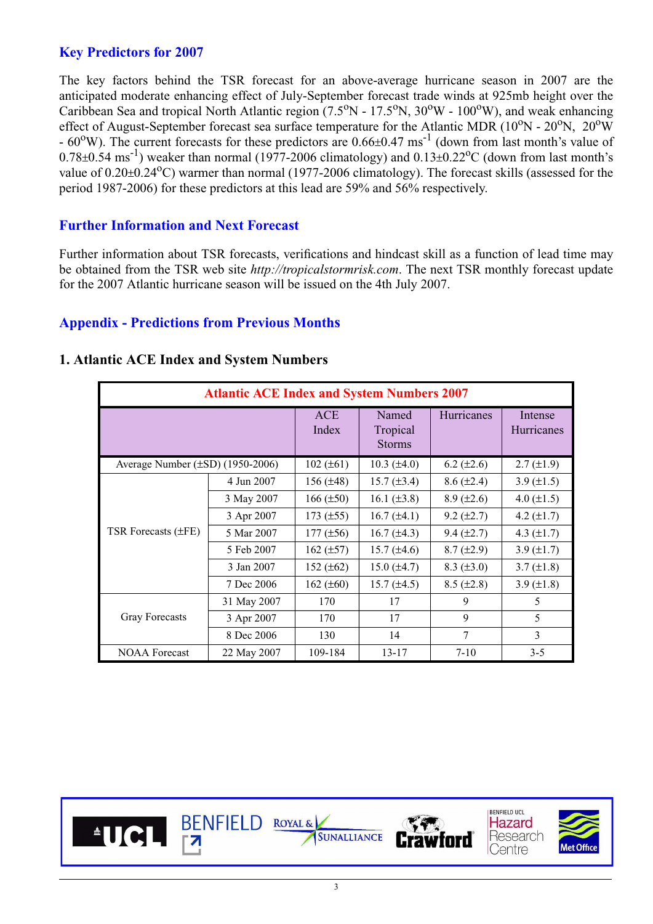## **Key Predictors for 2007**

The key factors behind the TSR forecast for an above-average hurricane season in 2007 are the anticipated moderate enhancing effect of July-September forecast trade winds at 925mb height over the Caribbean Sea and tropical North Atlantic region  $(7.5^{\circ}N - 17.5^{\circ}N, 30^{\circ}W - 100^{\circ}W)$ , and weak enhancing effect of August-September forecast sea surface temperature for the Atlantic MDR ( $10^{\circ}$ N -  $20^{\circ}$ N,  $20^{\circ}$ W)  $-60^{\circ}$ W). The current forecasts for these predictors are  $0.66\pm0.47$  ms<sup>-1</sup> (down from last month's value of  $0.78\pm0.54$  ms<sup>-1</sup>) weaker than normal (1977-2006 climatology) and  $0.13\pm0.22$ <sup>o</sup>C (down from last month's value of 0.20±0.24°C) warmer than normal (1977-2006 climatology). The forecast skills (assessed for the period 1987-2006) for these predictors at this lead are 59% and 56% respectively.

## **Further Information and Next Forecast**

Further information about TSR forecasts, verifications and hindcast skill as a function of lead time may be obtained from the TSR web site *http://tropicalstormrisk.com*. The next TSR monthly forecast update for the 2007 Atlantic hurricane season will be issued on the 4th July 2007.

### **Appendix - Predictions from Previous Months**

| <b>Atlantic ACE Index and System Numbers 2007</b> |             |                     |                                    |                   |                       |  |  |  |
|---------------------------------------------------|-------------|---------------------|------------------------------------|-------------------|-----------------------|--|--|--|
|                                                   |             | <b>ACE</b><br>Index | Named<br>Tropical<br><b>Storms</b> | Hurricanes        | Intense<br>Hurricanes |  |  |  |
| Average Number $(\pm SD)$ (1950-2006)             |             | $102 (\pm 61)$      | $10.3 (\pm 4.0)$                   | $6.2 \ (\pm 2.6)$ | $2.7 \ (\pm 1.9)$     |  |  |  |
|                                                   | 4 Jun 2007  | 156 $(\pm 48)$      | $15.7 (\pm 3.4)$                   | $8.6 (\pm 2.4)$   | 3.9 $(\pm 1.5)$       |  |  |  |
|                                                   | 3 May 2007  | $166 (\pm 50)$      | 16.1 $(\pm 3.8)$                   | $8.9 \ (\pm 2.6)$ | 4.0 $(\pm 1.5)$       |  |  |  |
|                                                   | 3 Apr 2007  | $173 (\pm 55)$      | $16.7 (\pm 4.1)$                   | $9.2 (\pm 2.7)$   | 4.2 $(\pm 1.7)$       |  |  |  |
| TSR Forecasts $(\pm FE)$                          | 5 Mar 2007  | $177 (\pm 56)$      | 16.7 $(\pm 4.3)$                   | $9.4 \ (\pm 2.7)$ | 4.3 $(\pm 1.7)$       |  |  |  |
|                                                   | 5 Feb 2007  | 162 $(\pm 57)$      | $15.7 (\pm 4.6)$                   | $8.7 (\pm 2.9)$   | 3.9 $(\pm 1.7)$       |  |  |  |
|                                                   | 3 Jan 2007  | 152 $(\pm 62)$      | 15.0 $(\pm 4.7)$                   | $8.3 \ (\pm 3.0)$ | $3.7 (\pm 1.8)$       |  |  |  |
|                                                   | 7 Dec 2006  | 162 $(\pm 60)$      | $15.7 (\pm 4.5)$                   | $8.5 (\pm 2.8)$   | 3.9 $(\pm 1.8)$       |  |  |  |
| Gray Forecasts                                    | 31 May 2007 | 170                 | 17                                 | 9                 | 5                     |  |  |  |
|                                                   | 3 Apr 2007  | 170                 | 17                                 | 9                 | 5                     |  |  |  |
|                                                   | 8 Dec 2006  | 130                 | 14                                 | $\tau$            | 3                     |  |  |  |
| <b>NOAA Forecast</b>                              | 22 May 2007 | 109-184             | $13 - 17$                          | $7 - 10$          | $3 - 5$               |  |  |  |

#### **1. Atlantic ACE Index and System Numbers**